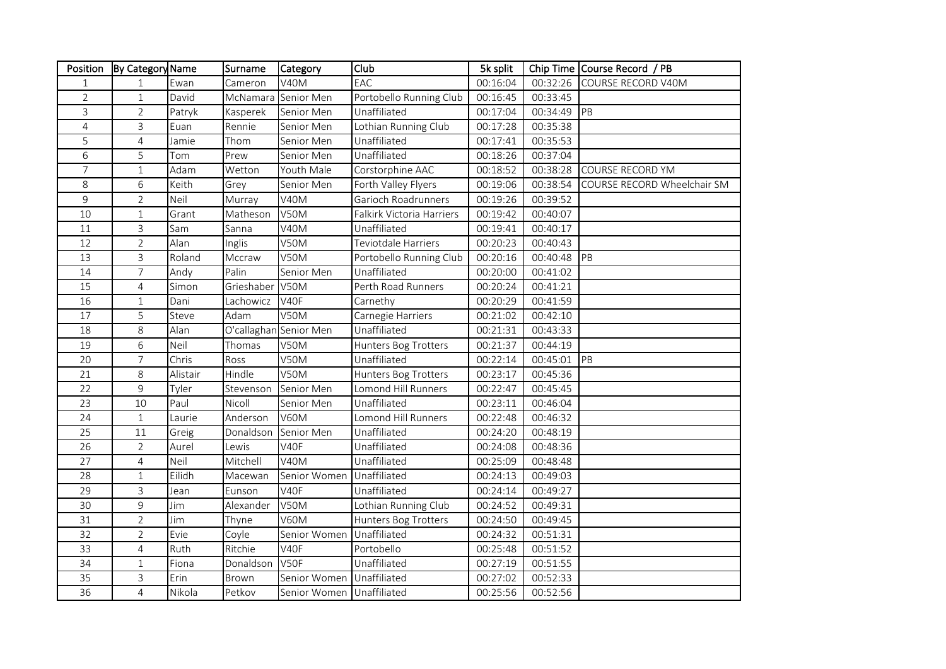| Position       | By Category Name |          | Surname    | Category                  | Club                      | 5k split |          | Chip Time Course Record / PB |
|----------------|------------------|----------|------------|---------------------------|---------------------------|----------|----------|------------------------------|
| 1              | $\mathbf{1}$     | Ewan     | Cameron    | <b>V40M</b>               | EAC                       | 00:16:04 | 00:32:26 | COURSE RECORD V40M           |
| $\overline{2}$ | $\mathbf{1}$     | David    | McNamara   | Senior Men                | Portobello Running Club   | 00:16:45 | 00:33:45 |                              |
| 3              | $\overline{2}$   | Patryk   | Kasperek   | Senior Men                | Unaffiliated              | 00:17:04 | 00:34:49 | PB                           |
| $\overline{4}$ | 3                | Euan     | Rennie     | Senior Men                | Lothian Running Club      | 00:17:28 | 00:35:38 |                              |
| 5              | 4                | Jamie    | Thom       | Senior Men                | Unaffiliated              | 00:17:41 | 00:35:53 |                              |
| 6              | 5                | Tom      | Prew       | Senior Men                | Unaffiliated              | 00:18:26 | 00:37:04 |                              |
| $\overline{7}$ | $\mathbf{1}$     | Adam     | Wetton     | Youth Male                | Corstorphine AAC          | 00:18:52 | 00:38:28 | COURSE RECORD YM             |
| 8              | 6                | Keith    | Grey       | Senior Men                | Forth Valley Flyers       | 00:19:06 | 00:38:54 | COURSE RECORD Wheelchair SM  |
| 9              | $\overline{2}$   | Neil     | Murray     | <b>V40M</b>               | Garioch Roadrunners       | 00:19:26 | 00:39:52 |                              |
| 10             | $\mathbf{1}$     | Grant    | Matheson   | <b>V50M</b>               | Falkirk Victoria Harriers | 00:19:42 | 00:40:07 |                              |
| 11             | 3                | Sam      | Sanna      | <b>V40M</b>               | Unaffiliated              | 00:19:41 | 00:40:17 |                              |
| 12             | $\overline{2}$   | Alan     | Inglis     | V50M                      | Teviotdale Harriers       | 00:20:23 | 00:40:43 |                              |
| 13             | 3                | Roland   | Mccraw     | <b>V50M</b>               | Portobello Running Club   | 00:20:16 | 00:40:48 | PB                           |
| 14             | $\overline{7}$   | Andy     | Palin      | Senior Men                | Unaffiliated              | 00:20:00 | 00:41:02 |                              |
| 15             | $\overline{4}$   | Simon    | Grieshaber | <b>V50M</b>               | Perth Road Runners        | 00:20:24 | 00:41:21 |                              |
| 16             | $\mathbf{1}$     | Dani     | Lachowicz  | V40F                      | Carnethy                  | 00:20:29 | 00:41:59 |                              |
| 17             | 5                | Steve    | Adam       | <b>V50M</b>               | Carnegie Harriers         | 00:21:02 | 00:42:10 |                              |
| 18             | 8                | Alan     |            | O'callaghan Senior Men    | Unaffiliated              | 00:21:31 | 00:43:33 |                              |
| 19             | 6                | Neil     | Thomas     | <b>V50M</b>               | Hunters Bog Trotters      | 00:21:37 | 00:44:19 |                              |
| 20             | $\overline{7}$   | Chris    | Ross       | <b>V50M</b>               | Unaffiliated              | 00:22:14 | 00:45:01 | PB                           |
| 21             | 8                | Alistair | Hindle     | V50M                      | Hunters Bog Trotters      | 00:23:17 | 00:45:36 |                              |
| 22             | 9                | Tyler    | Stevenson  | Senior Men                | Lomond Hill Runners       | 00:22:47 | 00:45:45 |                              |
| 23             | 10               | Paul     | Nicoll     | Senior Men                | Unaffiliated              | 00:23:11 | 00:46:04 |                              |
| 24             | $1\,$            | Laurie   | Anderson   | <b>V60M</b>               | Lomond Hill Runners       | 00:22:48 | 00:46:32 |                              |
| 25             | 11               | Greig    | Donaldson  | Senior Men                | Unaffiliated              | 00:24:20 | 00:48:19 |                              |
| 26             | $\overline{2}$   | Aurel    | Lewis      | V40F                      | Unaffiliated              | 00:24:08 | 00:48:36 |                              |
| 27             | $\overline{4}$   | Neil     | Mitchell   | <b>V40M</b>               | Unaffiliated              | 00:25:09 | 00:48:48 |                              |
| 28             | $\mathbf{1}$     | Eilidh   | Macewan    | Senior Women              | Unaffiliated              | 00:24:13 | 00:49:03 |                              |
| 29             | 3                | Jean     | Eunson     | V40F                      | Unaffiliated              | 00:24:14 | 00:49:27 |                              |
| 30             | 9                | Jim      | Alexander  | V50M                      | Lothian Running Club      | 00:24:52 | 00:49:31 |                              |
| 31             | $\overline{2}$   | Jim      | Thyne      | <b>V60M</b>               | Hunters Bog Trotters      | 00:24:50 | 00:49:45 |                              |
| 32             | $\overline{2}$   | Evie     | Coyle      | Senior Women              | Unaffiliated              | 00:24:32 | 00:51:31 |                              |
| 33             | $\overline{4}$   | Ruth     | Ritchie    | V40F                      | Portobello                | 00:25:48 | 00:51:52 |                              |
| 34             | $\mathbf{1}$     | Fiona    | Donaldson  | V50F                      | Unaffiliated              | 00:27:19 | 00:51:55 |                              |
| 35             | 3                | Erin     | Brown      | Senior Women Unaffiliated |                           | 00:27:02 | 00:52:33 |                              |
| 36             | $\overline{4}$   | Nikola   | Petkov     | Senior Women Unaffiliated |                           | 00:25:56 | 00:52:56 |                              |